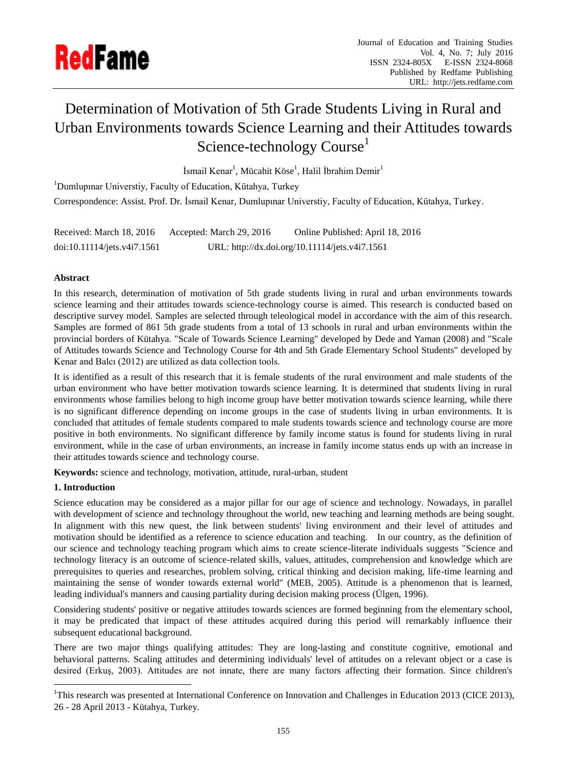

# Determination of Motivation of 5th Grade Students Living in Rural and Urban Environments towards Science Learning and their Attitudes towards Science-technology Course<sup>1</sup>

İsmail Kenar<sup>1</sup>, Mücahit Köse<sup>1</sup>, Halil İbrahim Demir<sup>1</sup>

<sup>1</sup>Dumlupinar Universtiy, Faculty of Education, Kütahya, Turkey Correspondence: Assist. Prof. Dr. İsmail Kenar, Dumlupınar Universtiy, Faculty of Education, Kütahya, Turkey.

| Received: March 18, 2016    | Accepted: March 29, 2016 | Online Published: April 18, 2016               |
|-----------------------------|--------------------------|------------------------------------------------|
| doi:10.11114/jets.v4i7.1561 |                          | URL: http://dx.doi.org/10.11114/jets.v4i7.1561 |

# **Abstract**

In this research, determination of motivation of 5th grade students living in rural and urban environments towards science learning and their attitudes towards science-technology course is aimed. This research is conducted based on descriptive survey model. Samples are selected through teleological model in accordance with the aim of this research. Samples are formed of 861 5th grade students from a total of 13 schools in rural and urban environments within the provincial borders of Kütahya. "Scale of Towards Science Learning" developed by Dede and Yaman (2008) and "Scale of Attitudes towards Science and Technology Course for 4th and 5th Grade Elementary School Students" developed by Kenar and Balcı (2012) are utilized as data collection tools.

It is identified as a result of this research that it is female students of the rural environment and male students of the urban environment who have better motivation towards science learning. It is determined that students living in rural environments whose families belong to high income group have better motivation towards science learning, while there is no significant difference depending on income groups in the case of students living in urban environments. It is concluded that attitudes of female students compared to male students towards science and technology course are more positive in both environments. No significant difference by family income status is found for students living in rural environment, while in the case of urban environments, an increase in family income status ends up with an increase in their attitudes towards science and technology course.

**Keywords:** science and technology, motivation, attitude, rural-urban, student

# **1. Introduction**

1

Science education may be considered as a major pillar for our age of science and technology. Nowadays, in parallel with development of science and technology throughout the world, new teaching and learning methods are being sought. In alignment with this new quest, the link between students' living environment and their level of attitudes and motivation should be identified as a reference to science education and teaching. In our country, as the definition of our science and technology teaching program which aims to create science-literate individuals suggests "Science and technology literacy is an outcome of science-related skills, values, attitudes, comprehension and knowledge which are prerequisites to queries and researches, problem solving, critical thinking and decision making, life-time learning and maintaining the sense of wonder towards external world" (MEB, 2005). Attitude is a phenomenon that is learned, leading individual's manners and causing partiality during decision making process (Ülgen, 1996).

Considering students' positive or negative attitudes towards sciences are formed beginning from the elementary school, it may be predicated that impact of these attitudes acquired during this period will remarkably influence their subsequent educational background.

There are two major things qualifying attitudes: They are long-lasting and constitute cognitive, emotional and behavioral patterns. Scaling attitudes and determining individuals' level of attitudes on a relevant object or a case is desired (Erkuş, 2003). Attitudes are not innate, there are many factors affecting their formation. Since children's

<sup>1</sup>This research was presented at International Conference on Innovation and Challenges in Education 2013 (CICE 2013), 26 - 28 April 2013 - Kütahya, Turkey.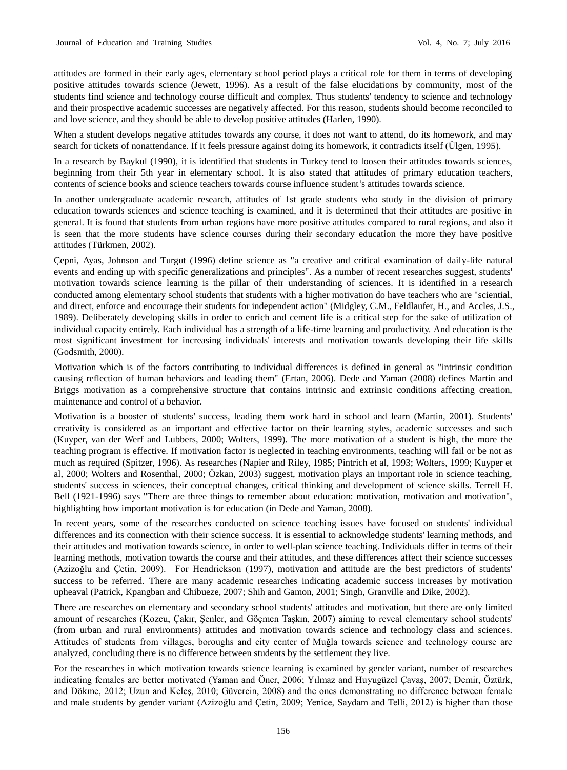attitudes are formed in their early ages, elementary school period plays a critical role for them in terms of developing positive attitudes towards science (Jewett, 1996). As a result of the false elucidations by community, most of the students find science and technology course difficult and complex. Thus students' tendency to science and technology and their prospective academic successes are negatively affected. For this reason, students should become reconciled to and love science, and they should be able to develop positive attitudes (Harlen, 1990).

When a student develops negative attitudes towards any course, it does not want to attend, do its homework, and may search for tickets of nonattendance. If it feels pressure against doing its homework, it contradicts itself (Ülgen, 1995).

In a research by Baykul (1990), it is identified that students in Turkey tend to loosen their attitudes towards sciences, beginning from their 5th year in elementary school. It is also stated that attitudes of primary education teachers, contents of science books and science teachers towards course influence student's attitudes towards science.

In another undergraduate academic research, attitudes of 1st grade students who study in the division of primary education towards sciences and science teaching is examined, and it is determined that their attitudes are positive in general. It is found that students from urban regions have more positive attitudes compared to rural regions, and also it is seen that the more students have science courses during their secondary education the more they have positive attitudes (Türkmen, 2002).

Çepni, Ayas, Johnson and Turgut (1996) define science as "a creative and critical examination of daily-life natural events and ending up with specific generalizations and principles". As a number of recent researches suggest, students' motivation towards science learning is the pillar of their understanding of sciences. It is identified in a research conducted among elementary school students that students with a higher motivation do have teachers who are "sciential, and direct, enforce and encourage their students for independent action" (Midgley, C.M., Feldlaufer, H., and Accles, J.S., 1989). Deliberately developing skills in order to enrich and cement life is a critical step for the sake of utilization of individual capacity entirely. Each individual has a strength of a life-time learning and productivity. And education is the most significant investment for increasing individuals' interests and motivation towards developing their life skills (Godsmith, 2000).

Motivation which is of the factors contributing to individual differences is defined in general as "intrinsic condition causing reflection of human behaviors and leading them" (Ertan, 2006). Dede and Yaman (2008) defines Martin and Briggs motivation as a comprehensive structure that contains intrinsic and extrinsic conditions affecting creation, maintenance and control of a behavior.

Motivation is a booster of students' success, leading them work hard in school and learn (Martin, 2001). Students' creativity is considered as an important and effective factor on their learning styles, academic successes and such (Kuyper, van der Werf and Lubbers, 2000; Wolters, 1999). The more motivation of a student is high, the more the teaching program is effective. If motivation factor is neglected in teaching environments, teaching will fail or be not as much as required (Spitzer, 1996). As researches (Napier and Riley, 1985; Pintrich et al, 1993; Wolters, 1999; Kuyper et al, 2000; Wolters and Rosenthal, 2000; Özkan, 2003) suggest, motivation plays an important role in science teaching, students' success in sciences, their conceptual changes, critical thinking and development of science skills. Terrell H. Bell (1921-1996) says "There are three things to remember about education: motivation, motivation and motivation", highlighting how important motivation is for education (in Dede and Yaman, 2008).

In recent years, some of the researches conducted on science teaching issues have focused on students' individual differences and its connection with their science success. It is essential to acknowledge students' learning methods, and their attitudes and motivation towards science, in order to well-plan science teaching. Individuals differ in terms of their learning methods, motivation towards the course and their attitudes, and these differences affect their science successes (Azizoğlu and Çetin, 2009). For Hendrickson (1997), motivation and attitude are the best predictors of students' success to be referred. There are many academic researches indicating academic success increases by motivation upheaval (Patrick, Kpangban and Chibueze, 2007; Shih and Gamon, 2001; Singh, Granville and Dike, 2002).

There are researches on elementary and secondary school students' attitudes and motivation, but there are only limited amount of researches (Kozcu, Çakır, Şenler, and Göçmen Taşkın, 2007) aiming to reveal elementary school students' (from urban and rural environments) attitudes and motivation towards science and technology class and sciences. Attitudes of students from villages, boroughs and city center of Muğla towards science and technology course are analyzed, concluding there is no difference between students by the settlement they live.

For the researches in which motivation towards science learning is examined by gender variant, number of researches indicating females are better motivated (Yaman and Öner, 2006; Yılmaz and Huyugüzel Çavaş, 2007; Demir, Öztürk, and Dökme, 2012; Uzun and Keleş, 2010; Güvercin, 2008) and the ones demonstrating no difference between female and male students by gender variant (Azizoğlu and Çetin, 2009; Yenice, Saydam and Telli, 2012) is higher than those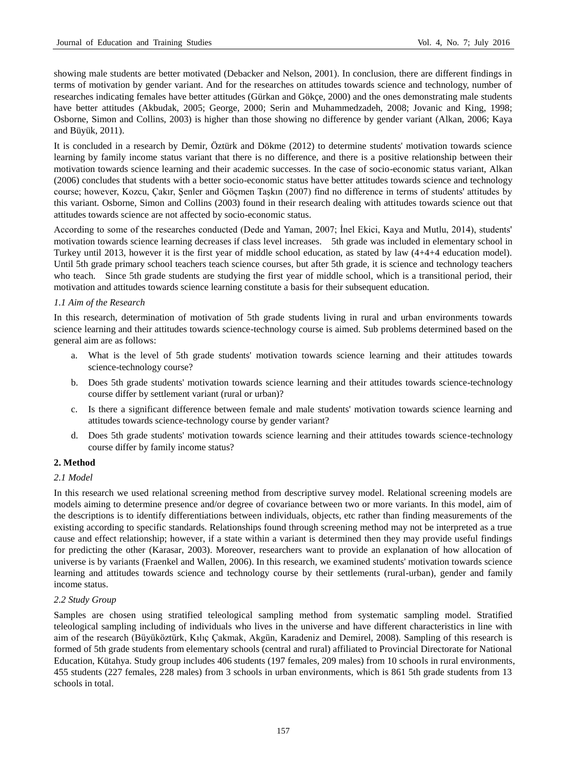showing male students are better motivated (Debacker and Nelson, 2001). In conclusion, there are different findings in terms of motivation by gender variant. And for the researches on attitudes towards science and technology, number of researches indicating females have better attitudes (Gürkan and Gökçe, 2000) and the ones demonstrating male students have better attitudes (Akbudak, 2005; George, 2000; Serin and Muhammedzadeh, 2008; Jovanic and King, 1998; Osborne, Simon and Collins, 2003) is higher than those showing no difference by gender variant (Alkan, 2006; Kaya and Büyük, 2011).

It is concluded in a research by Demir, Öztürk and Dökme (2012) to determine students' motivation towards science learning by family income status variant that there is no difference, and there is a positive relationship between their motivation towards science learning and their academic successes. In the case of socio-economic status variant, Alkan (2006) concludes that students with a better socio-economic status have better attitudes towards science and technology course; however, Kozcu, Çakır, Şenler and Göçmen Taşkın (2007) find no difference in terms of students' attitudes by this variant. Osborne, Simon and Collins (2003) found in their research dealing with attitudes towards science out that attitudes towards science are not affected by socio-economic status.

According to some of the researches conducted (Dede and Yaman, 2007; İnel Ekici, Kaya and Mutlu, 2014), students' motivation towards science learning decreases if class level increases. 5th grade was included in elementary school in Turkey until 2013, however it is the first year of middle school education, as stated by law (4+4+4 education model). Until 5th grade primary school teachers teach science courses, but after 5th grade, it is science and technology teachers who teach. Since 5th grade students are studying the first year of middle school, which is a transitional period, their motivation and attitudes towards science learning constitute a basis for their subsequent education.

## *1.1 Aim of the Research*

In this research, determination of motivation of 5th grade students living in rural and urban environments towards science learning and their attitudes towards science-technology course is aimed. Sub problems determined based on the general aim are as follows:

- a. What is the level of 5th grade students' motivation towards science learning and their attitudes towards science-technology course?
- b. Does 5th grade students' motivation towards science learning and their attitudes towards science-technology course differ by settlement variant (rural or urban)?
- c. Is there a significant difference between female and male students' motivation towards science learning and attitudes towards science-technology course by gender variant?
- d. Does 5th grade students' motivation towards science learning and their attitudes towards science-technology course differ by family income status?

## **2. Method**

## *2.1 Model*

In this research we used relational screening method from descriptive survey model. Relational screening models are models aiming to determine presence and/or degree of covariance between two or more variants. In this model, aim of the descriptions is to identify differentiations between individuals, objects, etc rather than finding measurements of the existing according to specific standards. Relationships found through screening method may not be interpreted as a true cause and effect relationship; however, if a state within a variant is determined then they may provide useful findings for predicting the other (Karasar, 2003). Moreover, researchers want to provide an explanation of how allocation of universe is by variants (Fraenkel and Wallen, 2006). In this research, we examined students' motivation towards science learning and attitudes towards science and technology course by their settlements (rural-urban), gender and family income status.

## *2.2 Study Group*

Samples are chosen using stratified teleological sampling method from systematic sampling model. Stratified teleological sampling including of individuals who lives in the universe and have different characteristics in line with aim of the research (Büyüköztürk, Kılıç Çakmak, Akgün, Karadeniz and Demirel, 2008). Sampling of this research is formed of 5th grade students from elementary schools (central and rural) affiliated to Provincial Directorate for National Education, Kütahya. Study group includes 406 students (197 females, 209 males) from 10 schools in rural environments, 455 students (227 females, 228 males) from 3 schools in urban environments, which is 861 5th grade students from 13 schools in total.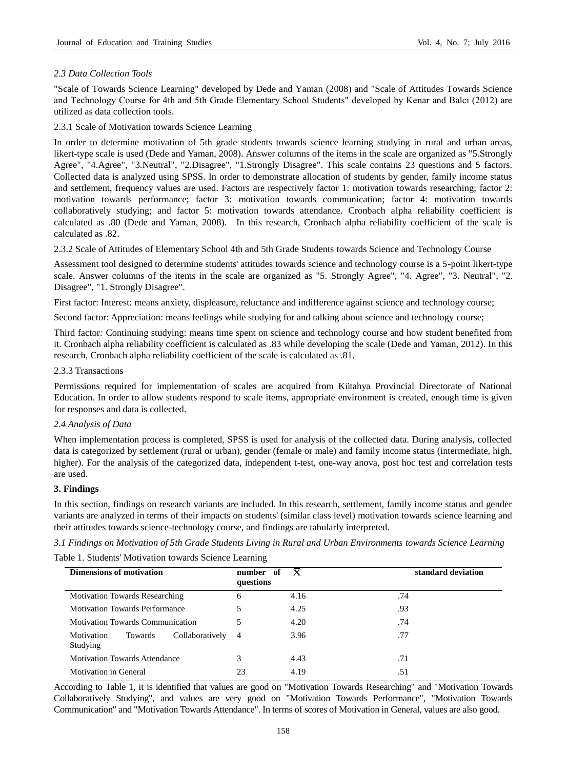# *2.3 Data Collection Tools*

"Scale of Towards Science Learning" developed by Dede and Yaman (2008) and "Scale of Attitudes Towards Science and Technology Course for 4th and 5th Grade Elementary School Students" developed by Kenar and Balcı (2012) are utilized as data collection tools.

2.3.1 Scale of Motivation towards Science Learning

In order to determine motivation of 5th grade students towards science learning studying in rural and urban areas, likert-type scale is used (Dede and Yaman, 2008). Answer columns of the items in the scale are organized as "5.Strongly Agree", "4.Agree", "3.Neutral", "2.Disagree", "1.Strongly Disagree". This scale contains 23 questions and 5 factors. Collected data is analyzed using SPSS. In order to demonstrate allocation of students by gender, family income status and settlement, frequency values are used. Factors are respectively factor 1: motivation towards researching; factor 2: motivation towards performance; factor 3: motivation towards communication; factor 4: motivation towards collaboratively studying; and factor 5: motivation towards attendance. Cronbach alpha reliability coefficient is calculated as .80 (Dede and Yaman, 2008). In this research, Cronbach alpha reliability coefficient of the scale is calculated as .82.

2.3.2 Scale of Attitudes of Elementary School 4th and 5th Grade Students towards Science and Technology Course

Assessment tool designed to determine students' attitudes towards science and technology course is a 5-point likert-type scale. Answer columns of the items in the scale are organized as "5. Strongly Agree", "4. Agree", "3. Neutral", "2. Disagree", "1. Strongly Disagree".

First factor: Interest: means anxiety, displeasure, reluctance and indifference against science and technology course;

Second factor: Appreciation: means feelings while studying for and talking about science and technology course;

Third factor*:* Continuing studying: means time spent on science and technology course and how student benefited from it. Cronbach alpha reliability coefficient is calculated as .83 while developing the scale (Dede and Yaman, 2012). In this research, Cronbach alpha reliability coefficient of the scale is calculated as .81.

## 2.3.3 Transactions

Permissions required for implementation of scales are acquired from Kütahya Provincial Directorate of National Education. In order to allow students respond to scale items, appropriate environment is created, enough time is given for responses and data is collected.

## *2.4 Analysis of Data*

When implementation process is completed, SPSS is used for analysis of the collected data. During analysis, collected data is categorized by settlement (rural or urban), gender (female or male) and family income status (intermediate, high, higher). For the analysis of the categorized data, independent t-test, one-way anova, post hoc test and correlation tests are used.

## **3. Findings**

In this section, findings on research variants are included. In this research, settlement, family income status and gender variants are analyzed in terms of their impacts on students' (similar class level) motivation towards science learning and their attitudes towards science-technology course, and findings are tabularly interpreted.

*3.1 Findings on Motivation of 5th Grade Students Living in Rural and Urban Environments towards Science Learning*

Table 1. Students' Motivation towards Science Learning

| <b>Dimensions of motivation</b>                      | number of<br>questions | $\mathbf x$ | standard deviation |
|------------------------------------------------------|------------------------|-------------|--------------------|
| <b>Motivation Towards Researching</b>                | 6                      | 4.16        | .74                |
| <b>Motivation Towards Performance</b>                |                        | 4.25        | .93                |
| <b>Motivation Towards Communication</b>              | 5                      | 4.20        | .74                |
| Collaboratively<br>Motivation<br>Towards<br>Studying | $\overline{4}$         | 3.96        | .77                |
| <b>Motivation Towards Attendance</b>                 | 3                      | 4.43        | .71                |
| Motivation in General                                | 23                     | 4.19        | .51                |

According to Table 1, it is identified that values are good on "Motivation Towards Researching" and "Motivation Towards Collaboratively Studying", and values are very good on "Motivation Towards Performance", "Motivation Towards Communication" and "Motivation Towards Attendance". In terms of scores of Motivation in General, values are also good.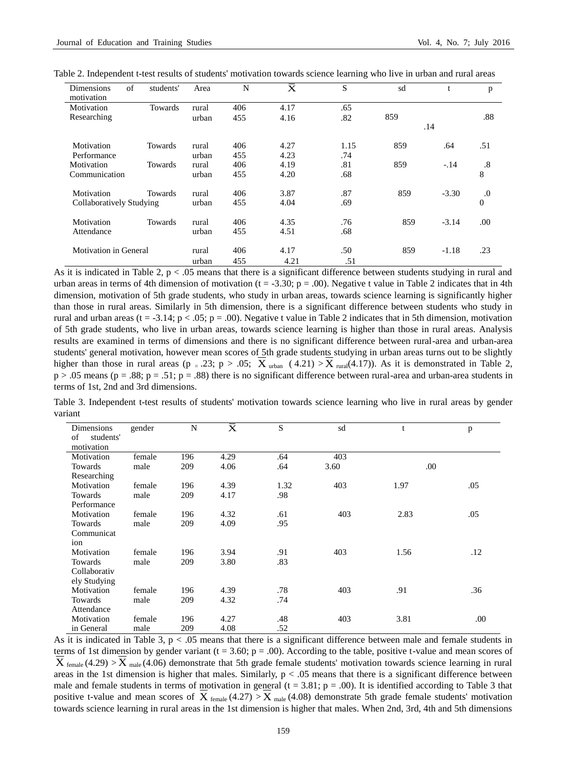| of<br><b>Dimensions</b><br>motivation | students'      | Area  | N   | $\bar{\text{x}}$ | S    | sd  | t       | p              |
|---------------------------------------|----------------|-------|-----|------------------|------|-----|---------|----------------|
| Motivation                            | Towards        | rural | 406 | 4.17             | .65  |     |         |                |
| Researching                           |                | urban | 455 | 4.16             | .82  | 859 |         | .88            |
|                                       |                |       |     |                  |      |     | .14     |                |
| Motivation                            | Towards        | rural | 406 | 4.27             | 1.15 | 859 | .64     | .51            |
| Performance                           |                | urban | 455 | 4.23             | .74  |     |         |                |
| Motivation                            | <b>Towards</b> | rural | 406 | 4.19             | .81  | 859 | $-.14$  | $.8\,$         |
| Communication                         |                | urban | 455 | 4.20             | .68  |     |         | 8              |
| Motivation                            | Towards        | rural | 406 | 3.87             | .87  | 859 | $-3.30$ | .0             |
| Collaboratively Studying              |                | urban | 455 | 4.04             | .69  |     |         | $\overline{0}$ |
| Motivation                            | Towards        | rural | 406 | 4.35             | .76  | 859 | $-3.14$ | .00            |
| Attendance                            |                | urban | 455 | 4.51             | .68  |     |         |                |
| <b>Motivation in General</b>          |                | rural | 406 | 4.17             | .50  | 859 | $-1.18$ | .23            |
|                                       |                | urban | 455 | 4.21             | .51  |     |         |                |

Table 2. Independent t-test results of students' motivation towards science learning who live in urban and rural areas

As it is indicated in Table 2,  $p < 0.05$  means that there is a significant difference between students studying in rural and urban areas in terms of 4th dimension of motivation  $(t = -3.30; p = .00)$ . Negative t value in Table 2 indicates that in 4th dimension, motivation of 5th grade students, who study in urban areas, towards science learning is significantly higher than those in rural areas. Similarly in 5th dimension, there is a significant difference between students who study in rural and urban areas (t = -3.14;  $p < .05$ ;  $p = .00$ ). Negative t value in Table 2 indicates that in 5th dimension, motivation of 5th grade students, who live in urban areas, towards science learning is higher than those in rural areas. Analysis results are examined in terms of dimensions and there is no significant difference between rural-area and urban-area students' general motivation, however mean scores of 5th grade students studying in urban areas turns out to be slightly higher than those in rural areas (p = .23; p > .05;  $X_{\text{urban}}$  (4.21) >  $X_{\text{rural}}$ (4.17)). As it is demonstrated in Table 2,  $p > 0.05$  means ( $p = 0.88$ ;  $p = 0.51$ ;  $p = 0.88$ ) there is no significant difference between rural-area and urban-area students in terms of 1st, 2nd and 3rd dimensions.

Table 3. Independent t-test results of students' motivation towards science learning who live in rural areas by gender variant

| Dimensions      | gender | N   | $\overline{\mathrm{\bar{X}}}$ | S    | sd   | t    | p    |
|-----------------|--------|-----|-------------------------------|------|------|------|------|
| of<br>students' |        |     |                               |      |      |      |      |
| motivation      |        |     |                               |      |      |      |      |
| Motivation      | female | 196 | 4.29                          | .64  | 403  |      |      |
| Towards         | male   | 209 | 4.06                          | .64  | 3.60 | .00  |      |
| Researching     |        |     |                               |      |      |      |      |
| Motivation      | female | 196 | 4.39                          | 1.32 | 403  | 1.97 | .05  |
| Towards         | male   | 209 | 4.17                          | .98  |      |      |      |
| Performance     |        |     |                               |      |      |      |      |
| Motivation      | female | 196 | 4.32                          | .61  | 403  | 2.83 | .05  |
| Towards         | male   | 209 | 4.09                          | .95  |      |      |      |
| Communicat      |        |     |                               |      |      |      |      |
| ion             |        |     |                               |      |      |      |      |
| Motivation      | female | 196 | 3.94                          | .91  | 403  | 1.56 | .12  |
| Towards         | male   | 209 | 3.80                          | .83  |      |      |      |
| Collaborativ    |        |     |                               |      |      |      |      |
| ely Studying    |        |     |                               |      |      |      |      |
| Motivation      | female | 196 | 4.39                          | .78  | 403  | .91  | .36  |
| Towards         | male   | 209 | 4.32                          | .74  |      |      |      |
| Attendance      |        |     |                               |      |      |      |      |
| Motivation      | female | 196 | 4.27                          | .48  | 403  | 3.81 | .00. |
| in General      | male   | 209 | 4.08                          | .52  |      |      |      |

As it is indicated in Table 3,  $p < .05$  means that there is a significant difference between male and female students in terms of 1st dimension by gender variant ( $t = 3.60$ ;  $p = .00$ ). According to the table, positive t-value and mean scores of  $X_{\text{female}}(4.29) > X_{\text{male}}(4.06)$  demonstrate that 5th grade female students' motivation towards science learning in rural areas in the 1st dimension is higher that males. Similarly,  $p < .05$  means that there is a significant difference between male and female students in terms of motivation in general  $(t = 3.81; p = .00)$ . It is identified according to Table 3 that positive t-value and mean scores of  $X_{\text{female}}(4.27) > X_{\text{male}}(4.08)$  demonstrate 5th grade female students' motivation towards science learning in rural areas in the 1st dimension is higher that males. When 2nd, 3rd, 4th and 5th dimensions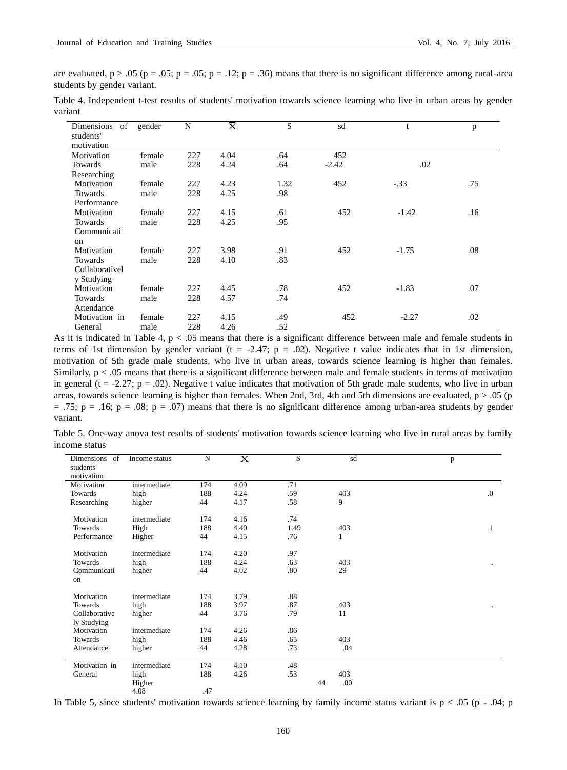are evaluated,  $p > .05$  ( $p = .05$ ;  $p = .05$ ;  $p = .12$ ;  $p = .36$ ) means that there is no significant difference among rural-area students by gender variant.

Table 4. Independent t-test results of students' motivation towards science learning who live in urban areas by gender variant

| Dimensions<br>of | gender | N   | $\overline{\bar{\mathrm{x}}}$ | $\mathbf S$ | sd      | t       | p   |
|------------------|--------|-----|-------------------------------|-------------|---------|---------|-----|
| students'        |        |     |                               |             |         |         |     |
| motivation       |        |     |                               |             |         |         |     |
| Motivation       | female | 227 | 4.04                          | .64         | 452     |         |     |
| Towards          | male   | 228 | 4.24                          | .64         | $-2.42$ | .02     |     |
| Researching      |        |     |                               |             |         |         |     |
| Motivation       | female | 227 | 4.23                          | 1.32        | 452     | $-.33$  | .75 |
| Towards          | male   | 228 | 4.25                          | .98         |         |         |     |
| Performance      |        |     |                               |             |         |         |     |
| Motivation       | female | 227 | 4.15                          | .61         | 452     | $-1.42$ | .16 |
| Towards          | male   | 228 | 4.25                          | .95         |         |         |     |
| Communicati      |        |     |                               |             |         |         |     |
| on               |        |     |                               |             |         |         |     |
| Motivation       | female | 227 | 3.98                          | .91         | 452     | $-1.75$ | .08 |
| Towards          | male   | 228 | 4.10                          | .83         |         |         |     |
| Collaborativel   |        |     |                               |             |         |         |     |
| y Studying       |        |     |                               |             |         |         |     |
| Motivation       | female | 227 | 4.45                          | .78         | 452     | $-1.83$ | .07 |
| Towards          | male   | 228 | 4.57                          | .74         |         |         |     |
| Attendance       |        |     |                               |             |         |         |     |
| Motivation in    | female | 227 | 4.15                          | .49         | 452     | $-2.27$ | .02 |
| General          | male   | 228 | 4.26                          | .52         |         |         |     |

As it is indicated in Table 4,  $p < .05$  means that there is a significant difference between male and female students in terms of 1st dimension by gender variant ( $t = -2.47$ ;  $p = .02$ ). Negative t value indicates that in 1st dimension, motivation of 5th grade male students, who live in urban areas, towards science learning is higher than females. Similarly, p < .05 means that there is a significant difference between male and female students in terms of motivation in general ( $t = -2.27$ ;  $p = .02$ ). Negative t value indicates that motivation of 5th grade male students, who live in urban areas, towards science learning is higher than females. When 2nd, 3rd, 4th and 5th dimensions are evaluated,  $p > .05$  (p  $= .75$ ; p =  $.16$ ; p =  $.08$ ; p =  $.07$ ) means that there is no significant difference among urban-area students by gender variant.

Table 5. One-way anova test results of students' motivation towards science learning who live in rural areas by family income status

| Dimensions<br>of | Income status | N   | $\mathbf X$ | S    |    | sd  | p          |
|------------------|---------------|-----|-------------|------|----|-----|------------|
| students'        |               |     |             |      |    |     |            |
| motivation       |               |     |             |      |    |     |            |
| Motivation       | intermediate  | 174 | 4.09        | .71  |    |     |            |
| Towards          | high          | 188 | 4.24        | .59  |    | 403 | $\Omega$ . |
| Researching      | higher        | 44  | 4.17        | .58  |    | 9   |            |
|                  |               |     |             |      |    |     |            |
| Motivation       | intermediate  | 174 | 4.16        | .74  |    |     |            |
| Towards          | High          | 188 | 4.40        | 1.49 |    | 403 | $\cdot$ 1  |
| Performance      | Higher        | 44  | 4.15        | .76  |    | 1   |            |
| Motivation       | intermediate  | 174 | 4.20        | .97  |    |     |            |
| Towards          | high          | 188 | 4.24        | .63  |    | 403 | ٠          |
| Communicati      | higher        | 44  | 4.02        | .80  |    | 29  |            |
| on               |               |     |             |      |    |     |            |
|                  |               |     |             |      |    |     |            |
| Motivation       | intermediate  | 174 | 3.79        | .88  |    |     |            |
| Towards          | high          | 188 | 3.97        | .87  |    | 403 |            |
| Collaborative    | higher        | 44  | 3.76        | .79  |    | 11  |            |
| ly Studying      |               |     |             |      |    |     |            |
| Motivation       | intermediate  | 174 | 4.26        | .86  |    |     |            |
| Towards          | high          | 188 | 4.46        | .65  |    | 403 |            |
| Attendance       | higher        | 44  | 4.28        | .73  |    | .04 |            |
| Motivation in    | intermediate  | 174 | 4.10        | .48  |    |     |            |
| General          | high          | 188 | 4.26        | .53  |    | 403 |            |
|                  |               |     |             |      |    |     |            |
|                  | Higher        |     |             |      | 44 | .00 |            |

In Table 5, since students' motivation towards science learning by family income status variant is  $p < .05$  (p = .04; p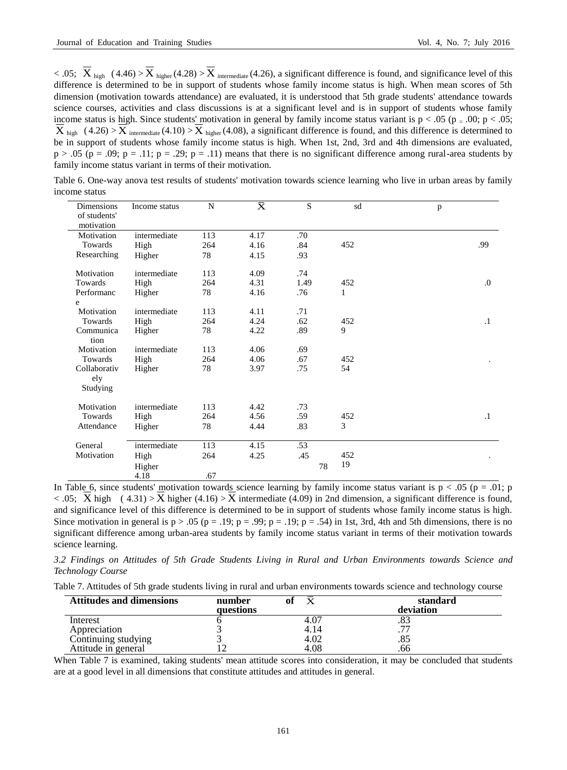$< .05;$   $X_{high}$  (4.46) >  $X_{higher}(4.28)$  >  $X_{intermediate}(4.26)$ , a significant difference is found, and significance level of this difference is determined to be in support of students whose family income status is high. When mean scores of 5th dimension (motivation towards attendance) are evaluated, it is understood that 5th grade students' attendance towards science courses, activities and class discussions is at a significant level and is in support of students whose family income status is high. Since students' motivation in general by family income status variant is  $p < .05$  ( $p = .00$ ;  $p < .05$ ;  $X_{\text{high}}$  (4.26) > X intermediate (4.10) > X higher (4.08), a significant difference is found, and this difference is determined to be in support of students whose family income status is high. When 1st, 2nd, 3rd and 4th dimensions are evaluated,  $p > .05$  ( $p = .09$ ;  $p = .11$ ;  $p = .29$ ;  $p = .11$ ) means that there is no significant difference among rural-area students by family income status variant in terms of their motivation.

| <b>Dimensions</b><br>of students' | Income status  | N   | $\overline{\mathrm{X}}$ | $\overline{S}$ | sd  | p          |
|-----------------------------------|----------------|-----|-------------------------|----------------|-----|------------|
| motivation                        |                |     |                         |                |     |            |
| Motivation                        | intermediate   | 113 | 4.17                    | .70            |     |            |
| Towards                           | High           | 264 | 4.16                    | .84            | 452 | .99        |
| Researching                       | Higher         | 78  | 4.15                    | .93            |     |            |
| Motivation                        | intermediate   | 113 | 4.09                    | .74            |     |            |
| Towards                           | High           | 264 | 4.31                    | 1.49           | 452 | $\Omega$ . |
| Performanc                        | Higher         | 78  | 4.16                    | .76            | 1   |            |
| e                                 |                |     |                         |                |     |            |
| Motivation                        | intermediate   | 113 | 4.11                    | .71            |     |            |
| Towards                           | High           | 264 | 4.24                    | .62            | 452 | $\cdot$    |
| Communica                         | Higher         | 78  | 4.22                    | .89            | 9   |            |
| tion                              |                |     |                         |                |     |            |
| Motivation                        | intermediate   | 113 | 4.06                    | .69            |     |            |
| Towards                           | High           | 264 | 4.06                    | .67            | 452 |            |
| Collaborativ                      | Higher         | 78  | 3.97                    | .75            | 54  |            |
| ely                               |                |     |                         |                |     |            |
| Studying                          |                |     |                         |                |     |            |
| Motivation                        | intermediate   | 113 | 4.42                    | .73            |     |            |
| Towards                           | High           | 264 | 4.56                    | .59            | 452 | $\cdot$ 1  |
| Attendance                        | Higher         | 78  | 4.44                    | .83            | 3   |            |
| General                           | intermediate   | 113 | 4.15                    | .53            |     |            |
| Motivation                        | High           | 264 | 4.25                    | .45            | 452 |            |
|                                   |                |     |                         | 78             | 19  |            |
|                                   | Higher<br>4.18 | .67 |                         |                |     |            |
|                                   |                |     |                         |                |     |            |

Table 6. One-way anova test results of students' motivation towards science learning who live in urban areas by family income status

In Table 6, since students' motivation towards science learning by family income status variant is  $p < .05$  ( $p = .01$ ; p  $< .05$ ; X high (4.31) > X higher (4.16) > X intermediate (4.09) in 2nd dimension, a significant difference is found, and significance level of this difference is determined to be in support of students whose family income status is high. Since motivation in general is  $p > .05$  ( $p = .19$ ;  $p = .99$ ;  $p = .19$ ;  $p = .54$ ) in 1st, 3rd, 4th and 5th dimensions, there is no significant difference among urban-area students by family income status variant in terms of their motivation towards science learning.

*3.2 Findings on Attitudes of 5th Grade Students Living in Rural and Urban Environments towards Science and Technology Course*

Table 7. Attitudes of 5th grade students living in rural and urban environments towards science and technology course

| <b>Attitudes and dimensions</b> | number<br>questions | $\mathbf{v}$ | standard<br>deviation |
|---------------------------------|---------------------|--------------|-----------------------|
| Interest                        |                     | 4.07         | .83                   |
| Appreciation                    |                     | 4.14         | רר                    |
| Continuing studying             |                     | 4.02         | .85                   |
| Attitude in general             |                     | 4.08         | .66                   |

When Table 7 is examined, taking students' mean attitude scores into consideration, it may be concluded that students are at a good level in all dimensions that constitute attitudes and attitudes in general.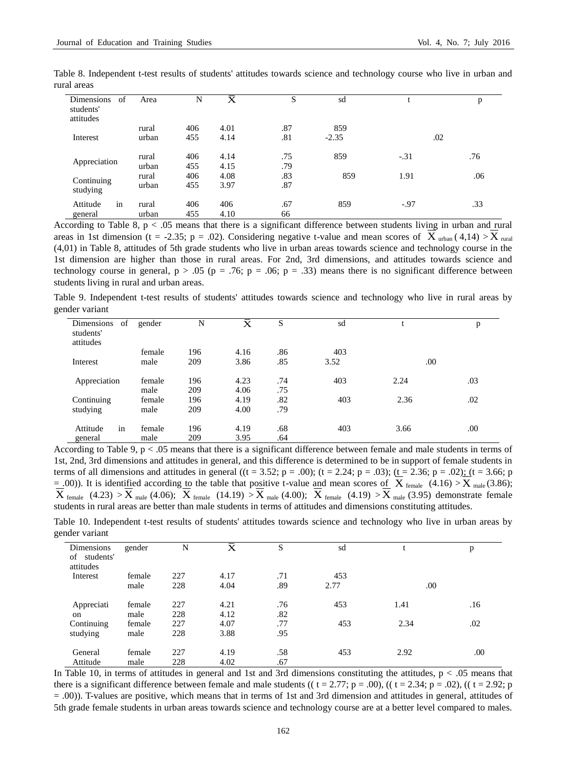| <b>Dimensions</b><br>of<br>students'<br>attitudes | Area  | N   | $\bar{\textnormal{x}}$ | S   | sd      |        | p   |
|---------------------------------------------------|-------|-----|------------------------|-----|---------|--------|-----|
|                                                   | rural | 406 | 4.01                   | .87 | 859     |        |     |
| Interest                                          | urban | 455 | 4.14                   | .81 | $-2.35$ | .02    |     |
| Appreciation                                      | rural | 406 | 4.14                   | .75 | 859     | $-.31$ | .76 |
|                                                   | urban | 455 | 4.15                   | .79 |         |        |     |
|                                                   | rural | 406 | 4.08                   | .83 | 859     | 1.91   | .06 |
| Continuing<br>studying                            | urban | 455 | 3.97                   | .87 |         |        |     |
| $\bullet$<br>Attitude<br>1n                       | rural | 406 | 406                    | .67 | 859     | $-.97$ | .33 |
| general                                           | urban | 455 | 4.10                   | 66  |         |        |     |

Table 8. Independent t-test results of students' attitudes towards science and technology course who live in urban and rural areas

According to Table 8,  $p < .05$  means that there is a significant difference between students living in urban and rural areas in 1st dimension (t = -2.35; p = .02). Considering negative t-value and mean scores of  $X_{\text{urban}}(4,14) > X_{\text{rural}}$ (4,01) in Table 8, attitudes of 5th grade students who live in urban areas towards science and technology course in the 1st dimension are higher than those in rural areas. For 2nd, 3rd dimensions, and attitudes towards science and technology course in general,  $p > .05$  ( $p = .76$ ;  $p = .06$ ;  $p = .33$ ) means there is no significant difference between students living in rural and urban areas.

Table 9. Independent t-test results of students' attitudes towards science and technology who live in rural areas by gender variant

| Dimensions<br>of<br>students'<br>attitudes | gender | N   | $\overline{\mathbf{x}}$ | S   | sd   |      | p   |
|--------------------------------------------|--------|-----|-------------------------|-----|------|------|-----|
|                                            | female | 196 | 4.16                    | .86 | 403  |      |     |
| Interest                                   | male   | 209 | 3.86                    | .85 | 3.52 | .00  |     |
| Appreciation                               | female | 196 | 4.23                    | .74 | 403  | 2.24 | .03 |
|                                            | male   | 209 | 4.06                    | .75 |      |      |     |
| Continuing                                 | female | 196 | 4.19                    | .82 | 403  | 2.36 | .02 |
| studying                                   | male   | 209 | 4.00                    | .79 |      |      |     |
| in<br>Attitude                             | female | 196 | 4.19                    | .68 | 403  | 3.66 | .00 |
| general                                    | male   | 209 | 3.95                    | .64 |      |      |     |

According to Table 9,  $p < 0.05$  means that there is a significant difference between female and male students in terms of 1st, 2nd, 3rd dimensions and attitudes in general, and this difference is determined to be in support of female students in terms of all dimensions and attitudes in general ((t = 3.52; p = .00); (t = 2.24; p = .03); (t = 2.36; p = .02); (t = 3.66; p  $=$  00)). It is identified according to the table that positive t-value and mean scores of  $\overline{X}$  female (4.16) >  $\overline{X}$  male (3.86);  $\overline{X}_{\text{female}}$  (4.23)  $>\overline{X}_{\text{male}}$  (4.06);  $\overline{X}_{\text{female}}$  (14.19)  $>\overline{X}_{\text{male}}$  (4.00);  $\overline{X}_{\text{female}}$  (4.19)  $>\overline{X}_{\text{male}}$  (3.95) demonstrate female students in rural areas are better than male students in terms of attitudes and dimensions constituting attitudes.

Table 10. Independent t-test results of students' attitudes towards science and technology who live in urban areas by gender variant

| Dimensions    | gender | N   | $\overline{\mathsf{x}}$ | د   | sd   |      | p   |
|---------------|--------|-----|-------------------------|-----|------|------|-----|
| of students'  |        |     |                         |     |      |      |     |
|               |        |     |                         |     |      |      |     |
| attitudes     |        |     |                         |     |      |      |     |
| Interest      | female | 227 | 4.17                    | .71 | 453  |      |     |
|               | male   | 228 | 4.04                    | .89 | 2.77 | .00  |     |
|               |        |     |                         |     |      |      |     |
| Appreciati    | female | 227 | 4.21                    | .76 | 453  | 1.41 | .16 |
|               |        |     |                         |     |      |      |     |
| <sub>on</sub> | male   | 228 | 4.12                    | .82 |      |      |     |
| Continuing    | female | 227 | 4.07                    | .77 | 453  | 2.34 | .02 |
| studying      | male   | 228 | 3.88                    | .95 |      |      |     |
|               |        |     |                         |     |      |      |     |
| General       | female | 227 | 4.19                    | .58 | 453  | 2.92 | .00 |
|               |        |     |                         |     |      |      |     |
| Attitude      | male   | 228 | 4.02                    | .67 |      |      |     |

In Table 10, in terms of attitudes in general and 1st and 3rd dimensions constituting the attitudes,  $p < .05$  means that there is a significant difference between female and male students (( $t = 2.77$ ;  $p = .00$ ), (( $t = 2.34$ ;  $p = .02$ ), (( $t = 2.92$ ; p = .00)). T-values are positive, which means that in terms of 1st and 3rd dimension and attitudes in general, attitudes of 5th grade female students in urban areas towards science and technology course are at a better level compared to males.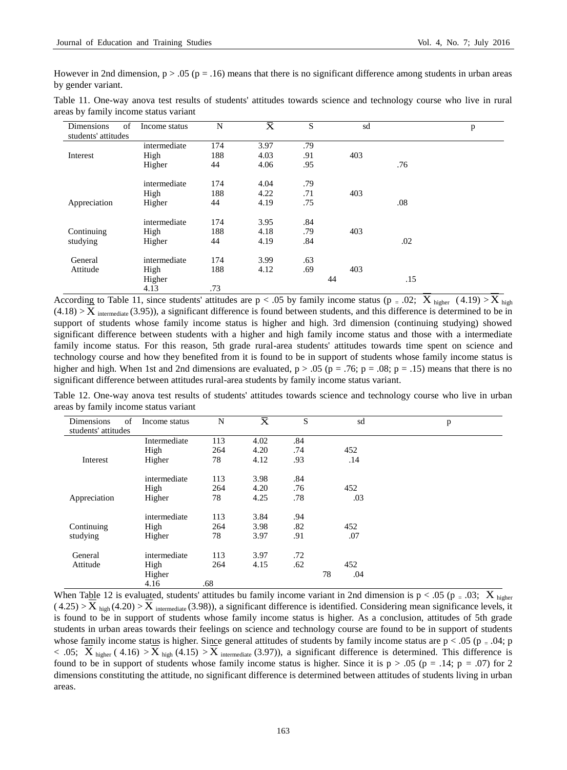However in 2nd dimension,  $p > 0.05$  ( $p = 0.16$ ) means that there is no significant difference among students in urban areas by gender variant.

|                                       |  |  |  |  | Table 11. One-way anova test results of students' attitudes towards science and technology course who live in rural |  |  |  |
|---------------------------------------|--|--|--|--|---------------------------------------------------------------------------------------------------------------------|--|--|--|
| areas by family income status variant |  |  |  |  |                                                                                                                     |  |  |  |

| Dimensions<br>of    | Income status | N   | $\overline{\mathrm{x}}$ | S   | sd  |     | p |
|---------------------|---------------|-----|-------------------------|-----|-----|-----|---|
| students' attitudes |               |     |                         |     |     |     |   |
|                     | intermediate  | 174 | 3.97                    | .79 |     |     |   |
| Interest            | High          | 188 | 4.03                    | .91 | 403 |     |   |
|                     | Higher        | 44  | 4.06                    | .95 |     | .76 |   |
|                     | intermediate  | 174 | 4.04                    | .79 |     |     |   |
|                     | High          | 188 | 4.22                    | .71 | 403 |     |   |
| Appreciation        | Higher        | 44  | 4.19                    | .75 |     | .08 |   |
|                     | intermediate  | 174 | 3.95                    | .84 |     |     |   |
| Continuing          | High          | 188 | 4.18                    | .79 | 403 |     |   |
| studying            | Higher        | 44  | 4.19                    | .84 |     | .02 |   |
| General             | intermediate  | 174 | 3.99                    | .63 |     |     |   |
| Attitude            | High          | 188 | 4.12                    | .69 | 403 |     |   |
|                     | Higher        |     |                         |     | 44  | .15 |   |
|                     | 4.13          | .73 |                         |     |     |     |   |

According to Table 11, since students' attitudes are  $p < .05$  by family income status ( $p = .02$ ;  $X_{\text{higher}}$  (4.19) >  $X_{\text{high}}$  $(4.18) > X$  intermediate (3.95)), a significant difference is found between students, and this difference is determined to be in support of students whose family income status is higher and high. 3rd dimension (continuing studying) showed significant difference between students with a higher and high family income status and those with a intermediate family income status. For this reason, 5th grade rural-area students' attitudes towards time spent on science and technology course and how they benefited from it is found to be in support of students whose family income status is higher and high. When 1st and 2nd dimensions are evaluated,  $p > .05$  ( $p = .76$ ;  $p = .08$ ;  $p = .15$ ) means that there is no significant difference between attitudes rural-area students by family income status variant.

Table 12. One-way anova test results of students' attitudes towards science and technology course who live in urban areas by family income status variant

| Dimensions<br>students' attitudes | of<br>Income status | N   | $\overline{\overline{\mathrm{x}}}$ | S   |    | sd  | p |
|-----------------------------------|---------------------|-----|------------------------------------|-----|----|-----|---|
|                                   | Intermediate        | 113 | 4.02                               | .84 |    |     |   |
|                                   | High                | 264 | 4.20                               | .74 |    | 452 |   |
| Interest                          | Higher              | 78  | 4.12                               | .93 |    | .14 |   |
|                                   | intermediate        | 113 | 3.98                               | .84 |    |     |   |
|                                   | High                | 264 | 4.20                               | .76 |    | 452 |   |
| Appreciation                      | Higher              | 78  | 4.25                               | .78 |    | .03 |   |
|                                   | intermediate        | 113 | 3.84                               | .94 |    |     |   |
| Continuing                        | High                | 264 | 3.98                               | .82 |    | 452 |   |
| studying                          | Higher              | 78  | 3.97                               | .91 |    | .07 |   |
| General                           | intermediate        | 113 | 3.97                               | .72 |    |     |   |
| Attitude                          | High                | 264 | 4.15                               | .62 |    | 452 |   |
|                                   | Higher              |     |                                    |     | 78 | .04 |   |
|                                   | 4.16                | .68 |                                    |     |    |     |   |

When Table 12 is evaluated, students' attitudes bu family income variant in 2nd dimension is  $p < .05$  ( $p = .03$ ;  $\overline{X}_{\text{higher}}$  $(4.25) > \overline{X}_{high}(4.20) > \overline{X}_{intermediate}(3.98)$ , a significant difference is identified. Considering mean significance levels, it is found to be in support of students whose family income status is higher. As a conclusion, attitudes of 5th grade students in urban areas towards their feelings on science and technology course are found to be in support of students whose family income status is higher. Since general attitudes of students by family income status are  $p < .05$  ( $p = .04$ ; p  $< .05;$   $\overline{X}_{higher}$  (4.16)  $> \overline{X}_{high}$  (4.15)  $> \overline{X}_{intermediate}$  (3.97)), a significant difference is determined. This difference is found to be in support of students whose family income status is higher. Since it is  $p > .05$  ( $p = .14$ ;  $p = .07$ ) for 2 dimensions constituting the attitude, no significant difference is determined between attitudes of students living in urban areas.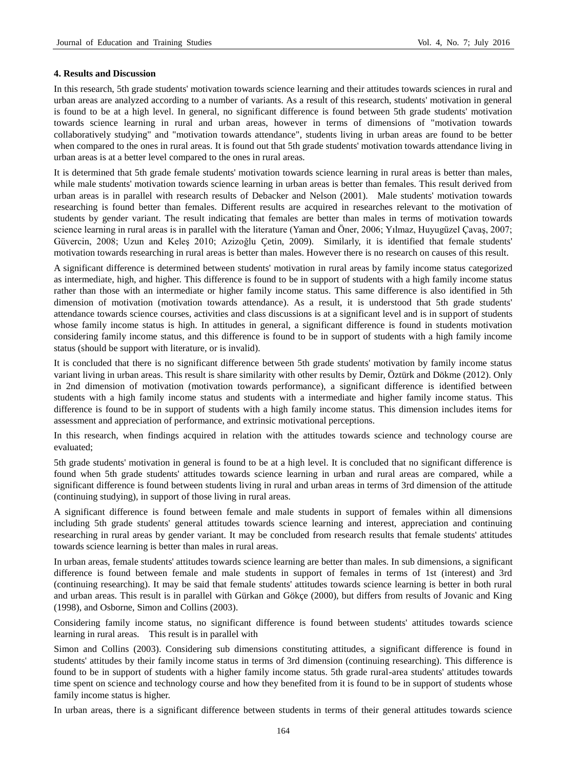## **4. Results and Discussion**

In this research, 5th grade students' motivation towards science learning and their attitudes towards sciences in rural and urban areas are analyzed according to a number of variants. As a result of this research, students' motivation in general is found to be at a high level. In general, no significant difference is found between 5th grade students' motivation towards science learning in rural and urban areas, however in terms of dimensions of "motivation towards collaboratively studying" and "motivation towards attendance", students living in urban areas are found to be better when compared to the ones in rural areas. It is found out that 5th grade students' motivation towards attendance living in urban areas is at a better level compared to the ones in rural areas.

It is determined that 5th grade female students' motivation towards science learning in rural areas is better than males, while male students' motivation towards science learning in urban areas is better than females. This result derived from urban areas is in parallel with research results of Debacker and Nelson (2001). Male students' motivation towards researching is found better than females. Different results are acquired in researches relevant to the motivation of students by gender variant. The result indicating that females are better than males in terms of motivation towards science learning in rural areas is in parallel with the literature (Yaman and Öner, 2006; Yılmaz, Huyugüzel Çavaş, 2007; Güvercin, 2008; Uzun and Keleş 2010; Azizoğlu Çetin, 2009). Similarly, it is identified that female students' motivation towards researching in rural areas is better than males. However there is no research on causes of this result.

A significant difference is determined between students' motivation in rural areas by family income status categorized as intermediate, high, and higher. This difference is found to be in support of students with a high family income status rather than those with an intermediate or higher family income status. This same difference is also identified in 5th dimension of motivation (motivation towards attendance). As a result, it is understood that 5th grade students' attendance towards science courses, activities and class discussions is at a significant level and is in support of students whose family income status is high. In attitudes in general, a significant difference is found in students motivation considering family income status, and this difference is found to be in support of students with a high family income status (should be support with literature, or is invalid).

It is concluded that there is no significant difference between 5th grade students' motivation by family income status variant living in urban areas. This result is share similarity with other results by Demir, Öztürk and Dökme (2012). Only in 2nd dimension of motivation (motivation towards performance), a significant difference is identified between students with a high family income status and students with a intermediate and higher family income status. This difference is found to be in support of students with a high family income status. This dimension includes items for assessment and appreciation of performance, and extrinsic motivational perceptions.

In this research, when findings acquired in relation with the attitudes towards science and technology course are evaluated;

5th grade students' motivation in general is found to be at a high level. It is concluded that no significant difference is found when 5th grade students' attitudes towards science learning in urban and rural areas are compared, while a significant difference is found between students living in rural and urban areas in terms of 3rd dimension of the attitude (continuing studying), in support of those living in rural areas.

A significant difference is found between female and male students in support of females within all dimensions including 5th grade students' general attitudes towards science learning and interest, appreciation and continuing researching in rural areas by gender variant. It may be concluded from research results that female students' attitudes towards science learning is better than males in rural areas.

In urban areas, female students' attitudes towards science learning are better than males. In sub dimensions, a significant difference is found between female and male students in support of females in terms of 1st (interest) and 3rd (continuing researching). It may be said that female students' attitudes towards science learning is better in both rural and urban areas. This result is in parallel with Gürkan and Gök æ (2000), but differs from results of Jovanic and King (1998), and Osborne, Simon and Collins (2003).

Considering family income status, no significant difference is found between students' attitudes towards science learning in rural areas. This result is in parallel with

Simon and Collins (2003). Considering sub dimensions constituting attitudes, a significant difference is found in students' attitudes by their family income status in terms of 3rd dimension (continuing researching). This difference is found to be in support of students with a higher family income status. 5th grade rural-area students' attitudes towards time spent on science and technology course and how they benefited from it is found to be in support of students whose family income status is higher.

In urban areas, there is a significant difference between students in terms of their general attitudes towards science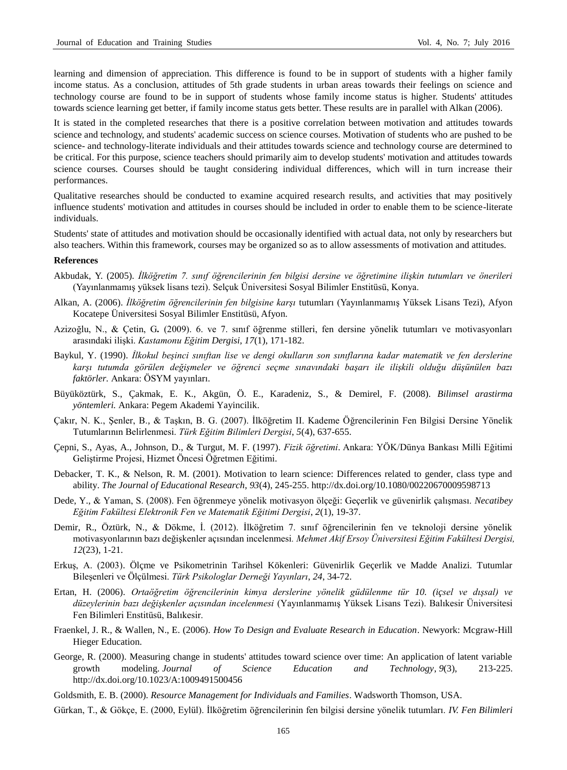learning and dimension of appreciation. This difference is found to be in support of students with a higher family income status. As a conclusion, attitudes of 5th grade students in urban areas towards their feelings on science and technology course are found to be in support of students whose family income status is higher. Students' attitudes towards science learning get better, if family income status gets better. These results are in parallel with Alkan (2006).

It is stated in the completed researches that there is a positive correlation between motivation and attitudes towards science and technology, and students' academic success on science courses. Motivation of students who are pushed to be science- and technology-literate individuals and their attitudes towards science and technology course are determined to be critical. For this purpose, science teachers should primarily aim to develop students' motivation and attitudes towards science courses. Courses should be taught considering individual differences, which will in turn increase their performances.

Qualitative researches should be conducted to examine acquired research results, and activities that may positively influence students' motivation and attitudes in courses should be included in order to enable them to be science-literate individuals.

Students' state of attitudes and motivation should be occasionally identified with actual data, not only by researchers but also teachers. Within this framework, courses may be organized so as to allow assessments of motivation and attitudes.

#### **References**

- Akbudak, Y. (2005). *İlköğretim 7. sınıf öğrencilerinin fen bilgisi dersine ve öğretimine ilişkin tutumları ve önerileri* (Yayınlanmamış yüksek lisans tezi). Selçuk Üniversitesi Sosyal Bilimler Enstitüsü, Konya.
- Alkan, A. (2006). *İlköğretim öğrencilerinin fen bilgisine karşı* tutumları (Yayınlanmamış Yüksek Lisans Tezi), Afyon Kocatepe Üniversitesi Sosyal Bilimler Enstitüsü, Afyon.
- Azizoğlu, N., & Çetin, G*.* (2009). 6. ve 7. sınıf öğrenme stilleri, fen dersine yönelik tutumları ve motivasyonları arasındaki ilişki. *Kastamonu Eğitim Dergisi, 17*(1), 171-182.
- Baykul, Y. (1990). *İlkokul beşinci sınıftan lise ve dengi okulların son sınıflarına kadar matematik ve fen derslerine karşı tutumda görülen değişmeler ve öğrenci seçme sınavındaki başarı ile ilişkili olduğu düşünülen bazı faktörler.* Ankara: ÖSYM yayınları.
- Büyüköztürk, S., Çakmak, E. K., Akgün, Ö. E., Karadeniz, S., & Demirel, F. (2008). *Bilimsel arastirma yöntemleri.* Ankara: Pegem Akademi Yayincilik.
- Çakır, N. K., Şenler, B., & Taşkın, B. G. (2007). İlköğretim II. Kademe Öğrencilerinin Fen Bilgisi Dersine Yönelik Tutumlarının Belirlenmesi. *Türk Eğitim Bilimleri Dergisi*, *5*(4), 637-655.
- Çepni, S., Ayas, A., Johnson, D., & Turgut, M. F. (1997). *Fizik öğretimi*. Ankara: YÖK/Dünya Bankası Milli Eğitimi Geliştirme Projesi, Hizmet Öncesi Öğretmen Eğitimi.
- Debacker, T. K., & Nelson, R. M. (2001). Motivation to learn science: Differences related to gender, class type and ability. *The Journal of Educational Research*, *93*(4), 245-255.<http://dx.doi.org/10.1080/00220670009598713>
- Dede, Y., & Yaman, S. (2008). Fen öğrenmeye yönelik motivasyon ölçeği: Geçerlik ve güvenirlik çalışması. *Necatibey Eğitim Fakültesi Elektronik Fen ve Matematik Eğitimi Dergisi*, *2*(1), 19-37.
- Demir, R., Öztürk, N., & Dökme, İ. (2012). İlköğretim 7. sınıf öğrencilerinin fen ve teknoloji dersine yönelik motivasyonlarının bazı değişkenler açısından incelenmesi*. Mehmet Akif Ersoy Üniversitesi Eğitim Fakültesi Dergisi, 12*(23), 1-21.
- Erkuş, A. (2003). Ölçme ve Psikometrinin Tarihsel Kökenleri: Güvenirlik Geçerlik ve Madde Analizi. Tutumlar Bileşenleri ve Ölçülmesi. *Türk Psikologlar Derneği Yayınları*, *24*, 34-72.
- Ertan, H. (2006). *Ortaöğretim öğrencilerinin kimya derslerine yönelik güdülenme tür 10. (içsel ve dışsal) ve düzeylerinin bazı değişkenler açısından incelenmesi* (Yayınlanmamış Yüksek Lisans Tezi). Balıkesir Üniversitesi Fen Bilimleri Enstitüsü, Balıkesir.
- Fraenkel, J. R., & Wallen, N., E. (2006). *How To Design and Evaluate Research in Education*. Newyork: Mcgraw-Hill Hieger Education.
- George, R. (2000). Measuring change in students' attitudes toward science over time: An application of latent variable growth modeling. *Journal of Science Education and Technology*, *9*(3), 213-225. <http://dx.doi.org/10.1023/A:1009491500456>
- Goldsmith, E. B. (2000). *Resource Management for Individuals and Families*. Wadsworth Thomson, USA.
- Gürkan, T., & Gökçe, E. (2000, Eylül). İlköğretim öğrencilerinin fen bilgisi dersine yönelik tutumları. *IV. Fen Bilimleri*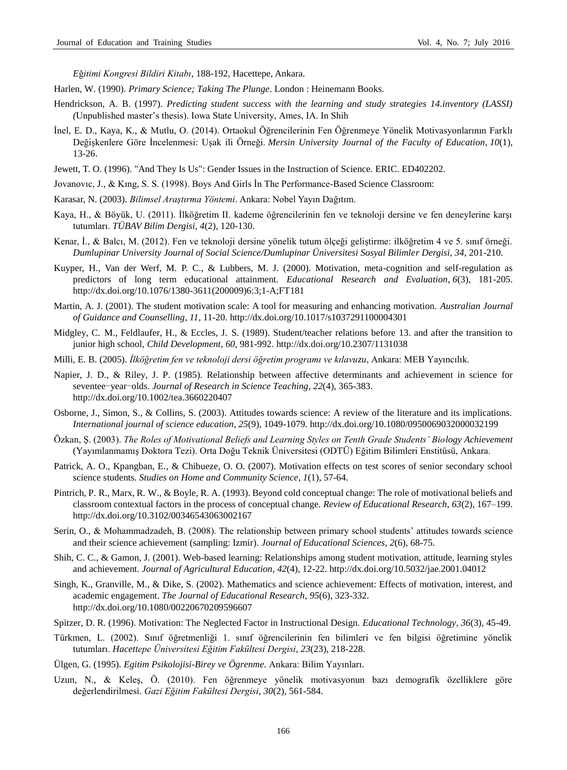*E*ğ*itimi Kongresi Bildiri Kitabı*, 188-192, Hacettepe, Ankara.

- Harlen, W. (1990). *Primary Science; Taking The Plunge*. London : Heinemann Books.
- Hendrickson, A. B. (1997). *Predicting student success with the learning and study strategies 14.inventory (LASSI) (*Unpublished master's thesis). Iowa State University, Ames, IA. In Shih
- İnel, E. D., Kaya, K., & Mutlu, O. (2014). Ortaokul Öğrencilerinin Fen Öğrenmeye Yönelik Motivasyonlarının Farklı Değişkenlere Göre İncelenmesi: Uşak ili Örneği. *Mersin University Journal of the Faculty of Education*, *10*(1), 13-26.
- Jewett, T. O. (1996). "And They Is Us": Gender Issues in the Instruction of Science. ERIC. ED402202.
- Jovanovıc, J., & Kıng, S. S. (1998). Boys And Girls İn The Performance-Based Science Classroom:
- Karasar, N. (2003). *Bilimsel Araştırma Yöntemi*. Ankara: Nobel Yayın Dağıtım.
- Kaya, H., & Böyük, U. (2011). İlköğretim II. kademe öğrencilerinin fen ve teknoloji dersine ve fen deneylerine karşı tutumları. *TÜBAV Bilim Dergisi*, *4*(2), 120-130.
- Kenar, İ., & Balcı, M. (2012). Fen ve teknoloji dersine yönelik tutum ölçeği geliştirme: ilköğretim 4 ve 5. sınıf örneği. *Dumlupinar University Journal of Social Science/Dumlupinar Üniversitesi Sosyal Bilimler Dergisi*, *34*, 201-210.
- Kuyper, H., Van der Werf, M. P. C., & Lubbers, M. J. (2000). Motivation, meta-cognition and self-regulation as predictors of long term educational attainment. *Educational Research and Evaluation*, *6*(3), 181-205. [http://dx.doi.org/10.1076/1380-3611\(200009\)6:3;1-A;FT181](http://dx.doi.org/10.1076/1380-3611%28200009%296:3;1-A;FT181)
- Martin, A. J. (2001). The student motivation scale: A tool for measuring and enhancing motivation. *Australian Journal of Guidance and Counselling*, *11,* 11-20[. http://dx.doi.org/10.1017/s1037291100004301](http://dx.doi.org/10.1017/s1037291100004301)
- Midgley, C. M., Feldlaufer, H., & Eccles, J. S. (1989). Student/teacher relations before 13. and after the transition to junior high school, *Child Development*, *60*, 981-992.<http://dx.doi.org/10.2307/1131038>
- Milli, E. B. (2005). *İlköğretim fen ve teknoloji dersi öğretim programı ve kılavuzu*, Ankara: MEB Yayıncılık.
- Napier, J. D., & Riley, J. P. (1985). Relationship between affective determinants and achievement in science for seventee-year-olds. *Journal of Research in Science Teaching*, *22*(4), 365-383. <http://dx.doi.org/10.1002/tea.3660220407>
- Osborne, J., Simon, S., & Collins, S. (2003). Attitudes towards science: A review of the literature and its implications. *International journal of science education*, *25*(9), 1049-1079[. http://dx.doi.org/10.1080/0950069032000032199](http://dx.doi.org/10.1080/0950069032000032199)
- Özkan, Ş. (2003). *The Roles of Motivational Beliefs and Learning Styles on Tenth Grade Students' Biology Achievement*  (Yayımlanmamış Doktora Tezi). Orta Doğu Teknik Üniversitesi (ODTÜ) Eğitim Bilimleri Enstitüsü, Ankara.
- Patrick, A. O., Kpangban, E., & Chibueze, O. O. (2007). Motivation effects on test scores of senior secondary school science students. *Studies on Home and Community Science*, *1*(1), 57-64.
- Pintrich, P. R., Marx, R. W., & Boyle, R. A. (1993). Beyond cold conceptual change: The role of motivational beliefs and classroom contextual factors in the process of conceptual change. *Review of Educational Research*, *63*(2), 167–199. <http://dx.doi.org/10.3102/00346543063002167>
- Serin, O., & Mohammadzadeh, B. (2008). The relationship between primary school students' attitudes towards science and their science achievement (sampling: Izmir). *Journal of Educational Sciences*, *2*(6), 68-75.
- Shih, C. C., & Gamon, J. (2001). Web-based learning: Relationships among student motivation, attitude, learning styles and achievement. *Journal of Agricultural Education*, *42*(4), 12-22.<http://dx.doi.org/10.5032/jae.2001.04012>
- Singh, K., Granville, M., & Dike, S. (2002). Mathematics and science achievement: Effects of motivation, interest, and academic engagement. *The Journal of Educational Research*, *95*(6), 323-332. <http://dx.doi.org/10.1080/00220670209596607>
- Spitzer, D. R. (1996). Motivation: The Neglected Factor in Instructional Design. *Educational Technology*, *36*(3), 45-49.
- Türkmen, L. (2002). Sınıf öğretmenliği 1. sınıf öğrencilerinin fen bilimleri ve fen bilgisi öğretimine yönelik tutumları. *Hacettepe Üniversitesi Eğitim Fakültesi Dergisi*, *23*(23), 218-228.
- Ülgen, G. (1995). *Egitim Psikolojisi-Birey ve Ögrenme.* Ankara: Bilim Yayınları.
- Uzun, N., & Keleş, Ö. (2010). Fen öğrenmeye yönelik motivasyonun bazı demografik özelliklere göre değerlendirilmesi. *Gazi Eğitim Fakültesi Dergisi*, *30*(2), 561-584.